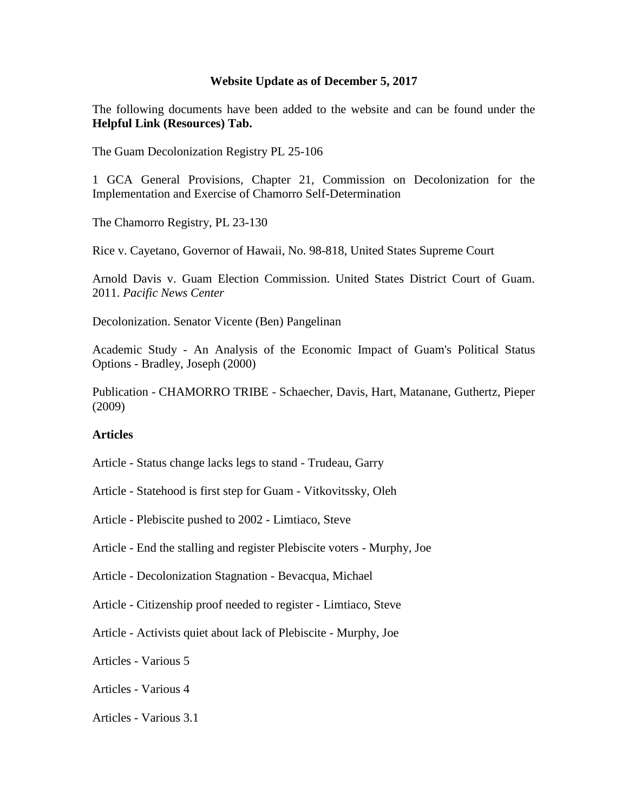## **Website Update as of December 5, 2017**

The following documents have been added to the website and can be found under the **Helpful Link (Resources) Tab.** 

[The Guam Decolonization Registry PL 25-106](http://guamlegislature.com/Public_Laws_25th/P.L.%2025-106.pdf)

[1 GCA General Provisions, Chapter 21, Commission on Decolonization for the](http://www.un.org/en/decolonization/specialcommittee.shtml)  [Implementation and Exercise of Chamorro Self-Determination](http://www.un.org/en/decolonization/specialcommittee.shtml)

[The Chamorro Registry, PL 23-130](http://guamlegislature.com/Public_Laws_23rd/P.L.%2023-130%20(SB%20673%20(LS).pdf)

[Rice v. Cayetano, Governor of Hawaii, No. 98-818, United States Supreme Court](http://scholar.google.com/scholar_case?case=17123522563063952153&hl=en&as_sdt=2&as_vis=1&oi=scholarr)

[Arnold Davis v. Guam Election Commission. United States District Court of Guam.](http://www.pacificnewscenter.com/images/pdf/stampedcomplaintchamvot.pdf)  2011. *[Pacific News Center](http://www.pacificnewscenter.com/images/pdf/stampedcomplaintchamvot.pdf)*

[Decolonization. Senator Vicente \(Ben\) Pangelinan](http://www.senbenp.com/wordpress/?page_id=293)

Academic Study - [An Analysis of the Economic Impact of Guam's Political Status](http://decol.guam.gov/wp-decol-content/uploads/2017/12/Academic-Study-An-Analysis-of-the-Economic-Impact-of-Guams-Political-Status-Options-Bradley-Joseph-2000.pdf)  Options - [Bradley, Joseph \(2000\)](http://decol.guam.gov/wp-decol-content/uploads/2017/12/Academic-Study-An-Analysis-of-the-Economic-Impact-of-Guams-Political-Status-Options-Bradley-Joseph-2000.pdf)

Publication - CHAMORRO TRIBE - [Schaecher, Davis, Hart, Matanane, Guthertz, Pieper](http://decol.guam.gov/wp-decol-content/uploads/2017/12/Publication-CHAMORRO-TRIBE-Schaecher-Davis-Hart-Matanane-Guthertz-Pieper-2009.pdf)  [\(2009\)](http://decol.guam.gov/wp-decol-content/uploads/2017/12/Publication-CHAMORRO-TRIBE-Schaecher-Davis-Hart-Matanane-Guthertz-Pieper-2009.pdf)

## **Articles**

Article - [Status change lacks legs to stand -](http://decol.guam.gov/wp-decol-content/uploads/2017/12/Article-Status-change-lacks-legs-to-stand-Trudeau-Garry.pdf) Trudeau, Garry

- Article [Statehood is first step for Guam -](http://decol.guam.gov/wp-decol-content/uploads/2017/12/Article-Statehood-is-first-step-for-Guam-Vitkovitssky-Oleh.pdf) Vitkovitssky, Oleh
- Article [Plebiscite pushed to 2002 -](http://decol.guam.gov/wp-decol-content/uploads/2017/12/Article-Plebiscite-pushed-to-2002-Limtiaco-Steve.pdf) Limtiaco, Steve
- Article [End the stalling and register Plebiscite voters -](http://decol.guam.gov/wp-decol-content/uploads/2017/12/Article-End-the-stalling-and-register-Plebiscite-voters-Murphy-Joe.pdf) Murphy, Joe

Article - [Decolonization Stagnation -](http://decol.guam.gov/wp-decol-content/uploads/2017/12/Article-Decolonization-Stagnation-Bevacqua-Michael.pdf) Bevacqua, Michael

- Article [Citizenship proof needed to register -](http://decol.guam.gov/wp-decol-content/uploads/2017/12/Article-Citizensship-proof-needed-to-register-Limtiaco-Steve.pdf) Limtiaco, Steve
- Article [Activists quiet about lack of Plebiscite -](http://decol.guam.gov/wp-decol-content/uploads/2017/12/Article-Activists-quiet-about-lack-of-Plebiscite-Murphy-Joe.pdf) Murphy, Joe

Articles - [Various 5](http://decol.guam.gov/wp-decol-content/uploads/2017/12/Articles_-_Various_5.pdf)

Articles - [Various 4](http://decol.guam.gov/wp-decol-content/uploads/2017/12/Articles-Various-4.pdf)

Articles - [Various 3.1](http://decol.guam.gov/wp-decol-content/uploads/2017/12/Articles-Various-3.1.pdf)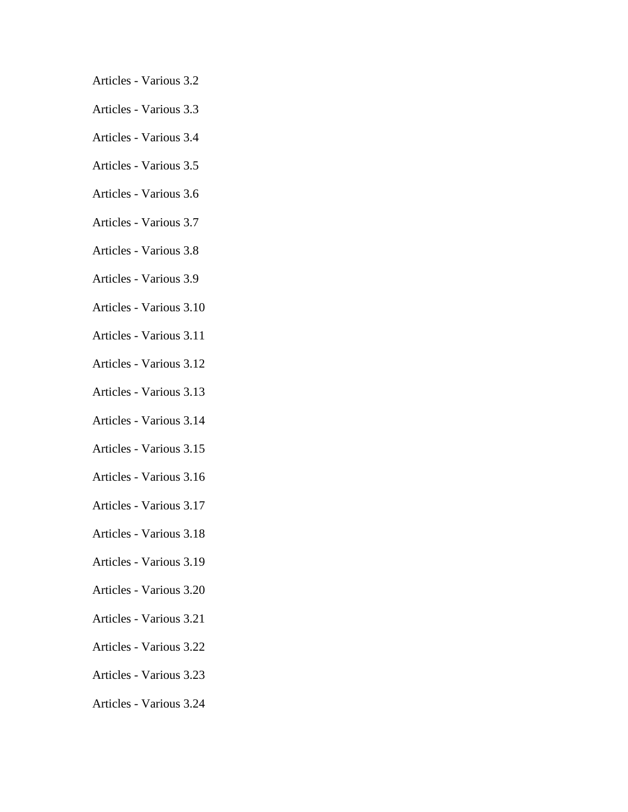- Articles [Various 3.2](http://decol.guam.gov/wp-decol-content/uploads/2017/12/Articles-Various-3.2.pdf)
- Articles [Various 3.3](http://decol.guam.gov/wp-decol-content/uploads/2017/12/Articles-Various-3.3.pdf)
- Articles [Various 3.4](http://decol.guam.gov/wp-decol-content/uploads/2017/12/Articles-Various-3.4.pdf)
- Articles [Various 3.5](http://decol.guam.gov/wp-decol-content/uploads/2017/12/Articles-Various-3.5.pdf)
- Articles [Various 3.6](http://decol.guam.gov/wp-decol-content/uploads/2017/12/Articles-Various-3.6.pdf)
- Articles [Various 3.7](http://decol.guam.gov/wp-decol-content/uploads/2017/12/Articles-Various-3.7.pdf)
- Articles [Various 3.8](http://decol.guam.gov/wp-decol-content/uploads/2017/12/Articles-Various-3.8.pdf)
- Articles [Various 3.9](http://decol.guam.gov/wp-decol-content/uploads/2017/12/Articles-Various-3.9.pdf)
- Articles [Various 3.10](http://decol.guam.gov/wp-decol-content/uploads/2017/12/Articles-Various-3.10.pdf)
- Articles [Various 3.11](http://decol.guam.gov/wp-decol-content/uploads/2017/12/Articles-Various-3.11.pdf)
- Articles [Various 3.12](http://decol.guam.gov/wp-decol-content/uploads/2017/12/Articles-Various-3.12.pdf)
- Articles [Various 3.13](http://decol.guam.gov/wp-decol-content/uploads/2017/12/Articles-Various-3.13.pdf)
- Articles [Various 3.14](http://decol.guam.gov/wp-decol-content/uploads/2017/12/Articles-Various-3.14.pdf)
- Articles [Various 3.15](http://decol.guam.gov/wp-decol-content/uploads/2017/12/Articles-Various-3.15.pdf)
- Articles [Various 3.16](http://decol.guam.gov/wp-decol-content/uploads/2017/12/Articles-Various-3.16.pdf)
- Articles [Various 3.17](http://decol.guam.gov/wp-decol-content/uploads/2017/12/Articles-Various-3.17.pdf)
- Articles [Various 3.18](http://decol.guam.gov/wp-decol-content/uploads/2017/12/Articles-Various-3.18.pdf)
- Articles [Various 3.19](http://decol.guam.gov/wp-decol-content/uploads/2017/12/Articles-Various-3.19.pdf)
- Articles [Various 3.20](http://decol.guam.gov/wp-decol-content/uploads/2017/12/Articles-Various-3.20.pdf)
- Articles [Various 3.21](http://decol.guam.gov/wp-decol-content/uploads/2017/12/Articles-Various-3.21.pdf)
- Articles [Various 3.22](http://decol.guam.gov/wp-decol-content/uploads/2017/12/Articles-Various-3.22.pdf)
- Articles [Various 3.23](http://decol.guam.gov/wp-decol-content/uploads/2017/12/Articles-Various-3.23.pdf)
- Articles [Various 3.24](http://decol.guam.gov/wp-decol-content/uploads/2017/12/Articles-Various-3.24.pdf)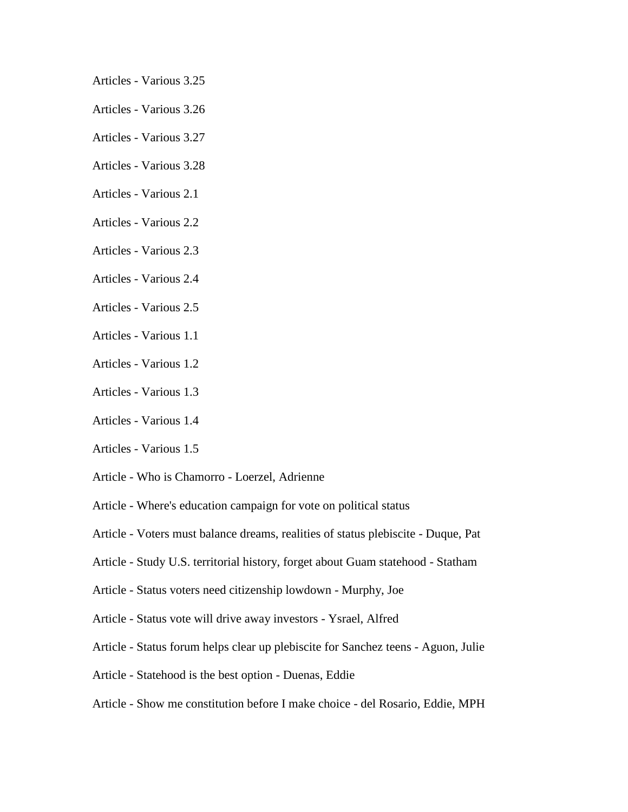- Articles [Various 3.25](http://decol.guam.gov/wp-decol-content/uploads/2017/12/Articles-Various-3.25.pdf)
- Articles [Various 3.26](http://decol.guam.gov/wp-decol-content/uploads/2017/12/Articles-Various-3.26.pdf)
- Articles [Various 3.27](http://decol.guam.gov/wp-decol-content/uploads/2017/12/Articles-Various-3.27.pdf)
- Articles [Various 3.28](http://decol.guam.gov/wp-decol-content/uploads/2017/12/Articles-Various-3.28.pdf)
- Articles [Various 2.1](http://decol.guam.gov/wp-decol-content/uploads/2017/12/Articles-Various-2.1.pdf)
- Articles [Various 2.2](http://decol.guam.gov/wp-decol-content/uploads/2017/12/Articles-Various-2.2.pdf)
- Articles [Various 2.3](http://decol.guam.gov/wp-decol-content/uploads/2017/12/Articles-Various-2.3.pdf)
- Articles [Various 2.4](http://decol.guam.gov/wp-decol-content/uploads/2017/12/Articles-Various-2.4.pdf)
- Articles [Various 2.5](http://decol.guam.gov/wp-decol-content/uploads/2017/12/Articles-Various-2.5.pdf)
- Articles [Various 1.1](http://decol.guam.gov/wp-decol-content/uploads/2017/12/Articles-Various-1.1.pdf)
- Articles [Various 1.2](http://decol.guam.gov/wp-decol-content/uploads/2017/12/Articles-Various-1.2.pdf)
- Articles [Various 1.3](http://decol.guam.gov/wp-decol-content/uploads/2017/12/Articles-Various-1.3.pdf)
- Articles [Various 1.4](http://decol.guam.gov/wp-decol-content/uploads/2017/12/Articles-Various-1.4.pdf)
- Articles [Various 1.5](http://decol.guam.gov/wp-decol-content/uploads/2017/12/Articles-Various-1.5.pdf)
- Article [Who is Chamorro -](http://decol.guam.gov/wp-decol-content/uploads/2017/12/Article-Who-is-Chamorro-Loerzel-Adrienne.pdf) Loerzel, Adrienne
- Article [Where's education campaign for vote on political status](http://decol.guam.gov/wp-decol-content/uploads/2017/12/Article-Wheres-education-campaign-for-vote-on-political-status.pdf)
- Article [Voters must balance dreams, realities of status plebiscite -](http://decol.guam.gov/wp-decol-content/uploads/2017/12/Article-Voters-must-balance-dreams-realities-of-status-plebiscite-Duque-Pat.pdf) Duque, Pat
- Article [Study U.S. territorial history, forget about Guam statehood -](http://decol.guam.gov/wp-decol-content/uploads/2017/12/Article-Study-U.S.-territorial-history-forget-about-Guam-statehood-Statham.pdf) Statham
- Article [Status voters need citizenship lowdown -](http://decol.guam.gov/wp-decol-content/uploads/2017/12/Article-Status-voters-need-citizenship-lowdown-Murphy-Joe.pdf) Murphy, Joe
- Article [Status vote will drive away investors -](http://decol.guam.gov/wp-decol-content/uploads/2017/12/Article-Status-vote-will-drive-away-investors-Ysrael-Alfred.pdf) Ysrael, Alfred
- Article [Status forum helps clear up plebiscite for Sanchez teens -](http://decol.guam.gov/wp-decol-content/uploads/2017/12/Article-Status-forum-helps-clear-up-plebiscite-for-Sanchez-teens-Aguon-Julie.pdf) Aguon, Julie
- Article [Statehood is the best option -](http://decol.guam.gov/wp-decol-content/uploads/2017/12/Article-Statehood-is-the-best-option-Duenas-Eddie.pdf) Duenas, Eddie
- Article [Show me constitution before I make choice -](http://decol.guam.gov/wp-decol-content/uploads/2017/12/Article-Show-me-constitution-before-I-make-choice-del-Rosario-Eddie-MPH.pdf) del Rosario, Eddie, MPH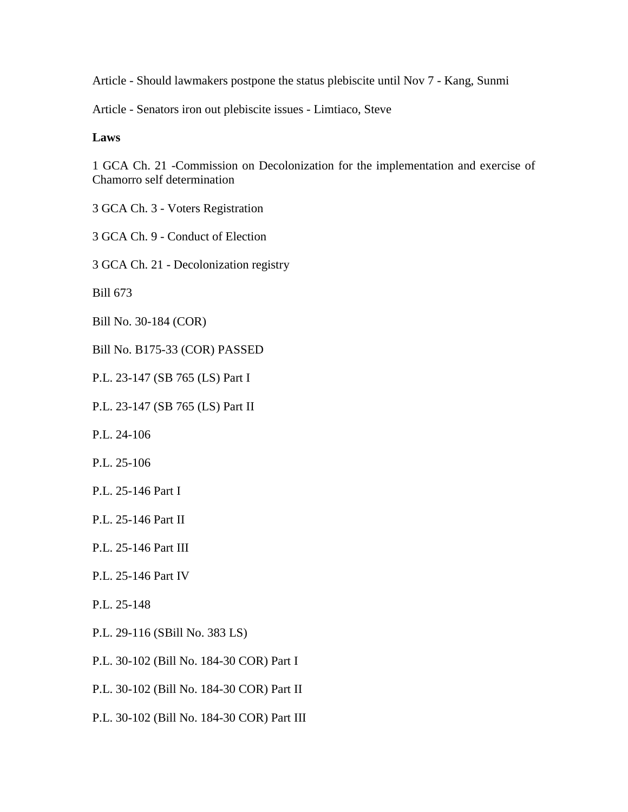Article - [Should lawmakers postpone the status plebiscite until Nov 7 -](http://decol.guam.gov/wp-decol-content/uploads/2017/12/Article-Should-lawmakers-postpone-the-status-plebiscite-until-Nov-7-Kang-Sunmi.pdf) Kang, Sunmi

Article - [Senators iron out plebiscite issues -](http://decol.guam.gov/wp-decol-content/uploads/2017/12/Article-Senators-iron-out-plebiscite-issues-Limtiaco-Steve.pdf) Limtiaco, Steve

## **Laws**

[1 GCA Ch. 21 -Commission on Decolonization for the implementation and exercise of](http://decol.guam.gov/wp-decol-content/uploads/2017/12/1-GCA-Ch.-21-Commission-on-Decolonization-for-the-implementation-and-exercise-of-Chamorro-self-determination.pdf)  [Chamorro self determination](http://decol.guam.gov/wp-decol-content/uploads/2017/12/1-GCA-Ch.-21-Commission-on-Decolonization-for-the-implementation-and-exercise-of-Chamorro-self-determination.pdf)

3 GCA Ch. 3 - [Voters Registration](http://decol.guam.gov/wp-decol-content/uploads/2017/12/3-GCA-Ch.-3-Voters-Registration.pdf)

3 GCA Ch. 9 - [Conduct of Election](http://decol.guam.gov/wp-decol-content/uploads/2017/12/3-GCA-Ch.-9-Conduct-of-Election.pdf)

3 GCA Ch. 21 - [Decolonization registry](http://decol.guam.gov/wp-decol-content/uploads/2017/12/3-GCA-Ch.-21-Decolonization-registry.pdf)

[Bill 673](http://decol.guam.gov/wp-decol-content/uploads/2017/12/Bill-673.pdf)

[Bill No. 30-184 \(COR\)](http://decol.guam.gov/wp-decol-content/uploads/2017/12/Bill-No.-30-184-COR.pdf)

[Bill No. B175-33 \(COR\) PASSED](http://decol.guam.gov/wp-decol-content/uploads/2017/12/Bill-No.-B175-33-COR-PASSED.pdf)

[P.L. 23-147 \(SB 765 \(LS\) Part I](http://decol.guam.gov/wp-decol-content/uploads/2017/12/P_L_23-147_SB_765_LS-Part-I.pdf)

[P.L. 23-147 \(SB 765 \(LS\) Part II](http://decol.guam.gov/wp-decol-content/uploads/2017/12/P_L_23-147_SB_765_LS-Part-II.pdf)

[P.L. 24-106](http://decol.guam.gov/wp-decol-content/uploads/2017/12/P.L.-24-106.pdf)

[P.L. 25-106](http://decol.guam.gov/wp-decol-content/uploads/2017/12/P.L.-25-106.pdf)

[P.L. 25-146 Part I](http://decol.guam.gov/wp-decol-content/uploads/2017/12/P.L.-25-146-Part-I.pdf)

[P.L. 25-146 Part II](http://decol.guam.gov/wp-decol-content/uploads/2017/12/P.L.-25-146-Part-II.pdf)

[P.L. 25-146 Part III](http://decol.guam.gov/wp-decol-content/uploads/2017/12/P.L.-25-146-Part-III.pdf)

[P.L. 25-146 Part IV](http://decol.guam.gov/wp-decol-content/uploads/2017/12/P.L.-25-146-Part-IV.pdf)

[P.L. 25-148](http://decol.guam.gov/wp-decol-content/uploads/2017/12/P.L.-25-148.pdf)

[P.L. 29-116 \(SBill No. 383 LS\)](http://decol.guam.gov/wp-decol-content/uploads/2017/12/P.L.-29-116-SBill-No.-383-LS.pdf)

[P.L. 30-102 \(Bill No. 184-30 COR\) Part I](http://decol.guam.gov/wp-decol-content/uploads/2017/12/P.L.-30-102-Bill-No.-184-30-COR-Part-I.pdf)

[P.L. 30-102 \(Bill No. 184-30 COR\) Part II](http://decol.guam.gov/wp-decol-content/uploads/2017/12/P.L.-30-102-Bill-No.-184-30-COR-Part-II.pdf)

[P.L. 30-102 \(Bill No. 184-30 COR\) Part III](http://decol.guam.gov/wp-decol-content/uploads/2017/12/P.L.-30-102-Bill-No.-184-30-COR-Part-III.pdf)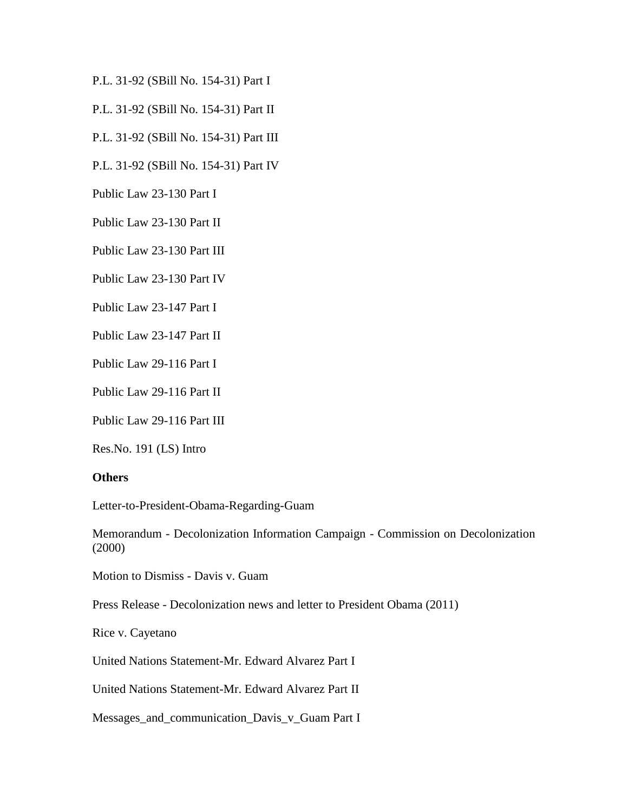[P.L. 31-92 \(SBill No. 154-31\) Part I](http://decol.guam.gov/wp-decol-content/uploads/2017/12/P.L.-31-92-SBill-No.-154-31-Part-I.pdf)

[P.L. 31-92 \(SBill No. 154-31\) Part II](http://decol.guam.gov/wp-decol-content/uploads/2017/12/P.L.-31-92-SBill-No.-154-31-Part-II.pdf)

[P.L. 31-92 \(SBill No. 154-31\) Part III](http://decol.guam.gov/wp-decol-content/uploads/2017/12/P.L.-31-92-SBill-No.-154-31-Part-III.pdf)

[P.L. 31-92 \(SBill No. 154-31\) Part IV](http://decol.guam.gov/wp-decol-content/uploads/2017/12/P.L.-31-92-SBill-No.-154-31-Part-IV.pdf)

[Public Law 23-130 Part I](http://decol.guam.gov/wp-decol-content/uploads/2017/12/Public-Law-23-130-Part-I.pdf)

[Public Law 23-130 Part II](http://decol.guam.gov/wp-decol-content/uploads/2017/12/Public-Law-23-130-Part-II.pdf)

[Public Law 23-130 Part III](http://decol.guam.gov/wp-decol-content/uploads/2017/12/Public-Law-23-130-Part-III.pdf)

[Public Law 23-130 Part IV](http://decol.guam.gov/wp-decol-content/uploads/2017/12/Public-Law-23-130-Part-IV.pdf)

[Public Law 23-147 Part I](http://decol.guam.gov/wp-decol-content/uploads/2017/12/Public-Law-23-147-Part-I.pdf)

[Public Law 23-147 Part II](http://decol.guam.gov/wp-decol-content/uploads/2017/12/Public-Law-23-147-Part-II.pdf)

[Public Law 29-116 Part I](http://decol.guam.gov/wp-decol-content/uploads/2017/12/Public-Law-29-116-Part-I.pdf)

[Public Law 29-116 Part II](http://decol.guam.gov/wp-decol-content/uploads/2017/12/Public-Law-29-116-Part-II.pdf)

[Public Law 29-116 Part III](http://decol.guam.gov/wp-decol-content/uploads/2017/12/Public-Law-29-116-Part-III.pdf)

[Res.No. 191 \(LS\) Intro](http://decol.guam.gov/wp-decol-content/uploads/2017/12/Res.No_.-191-LS-Intro.pdf)

## **Others**

[Letter-to-President-Obama-Regarding-Guam](http://decol.guam.gov/wp-decol-content/uploads/2017/12/Letter-to-President-Obama-Regarding-Guam.pdf)

Memorandum - [Decolonization Information Campaign -](http://decol.guam.gov/wp-decol-content/uploads/2017/12/Memorandum-Decolonization-Information-Campaign-Commission-on-Decolonization-2000.pdf) Commission on Decolonization [\(2000\)](http://decol.guam.gov/wp-decol-content/uploads/2017/12/Memorandum-Decolonization-Information-Campaign-Commission-on-Decolonization-2000.pdf)

[Motion to Dismiss -](http://decol.guam.gov/wp-decol-content/uploads/2017/12/Motion-to-Dismiss-Davis-v.-Guam.pdf) Davis v. Guam

Press Release - [Decolonization news and letter to President Obama \(2011\)](http://decol.guam.gov/wp-decol-content/uploads/2017/12/Press-Release-Decolonization-news-and-letter-to-President-Obama-2011.pdf)

[Rice v. Cayetano](http://decol.guam.gov/wp-decol-content/uploads/2017/12/Rice-v.-Cayetano.pdf)

[United Nations Statement-Mr. Edward Alvarez Part I](http://decol.guam.gov/wp-decol-content/uploads/2017/12/United-Nations-Statement-Mr.-Edward-Alvarez-Part-II.pdf)

[United Nations Statement-Mr. Edward Alvarez Part II](http://decol.guam.gov/wp-decol-content/uploads/2017/12/United-Nations-Statement-Mr.-Edward-Alvarez-Part-I.pdf)

[Messages\\_and\\_communication\\_Davis\\_v\\_Guam Part](http://decol.guam.gov/wp-decol-content/uploads/2017/12/Messages_and_communication_Davis_v_Guam-Part-I.pdf) I